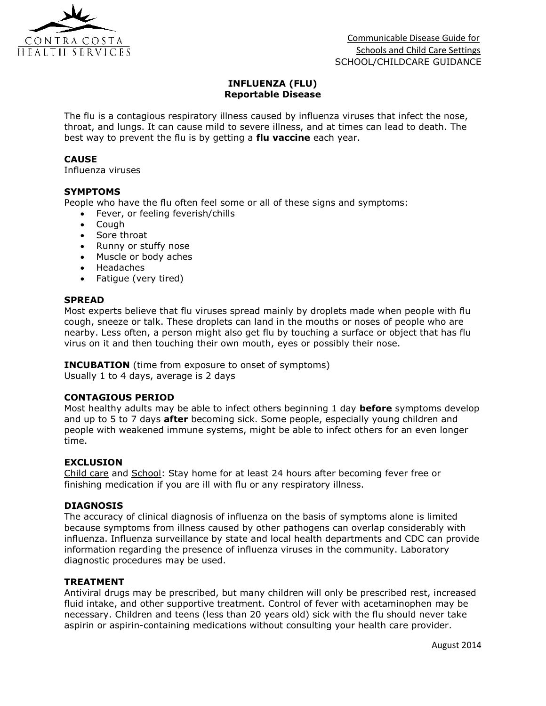

# **INFLUENZA (FLU) Reportable Disease**

The flu is a contagious respiratory illness caused by influenza viruses that infect the nose, throat, and lungs. It can cause mild to severe illness, and at times can lead to death. The best way to prevent the flu is by getting a **flu vaccine** each year.

### **CAUSE**

Influenza viruses

### **SYMPTOMS**

People who have the flu often feel some or all of these signs and symptoms:

- Fever, or feeling feverish/chills
- Cough
- Sore throat
- Runny or stuffy nose
- Muscle or body aches
- Headaches
- Fatique (very tired)

#### **SPREAD**

Most experts believe that flu viruses spread mainly by droplets made when people with flu cough, sneeze or talk. These droplets can land in the mouths or noses of people who are nearby. Less often, a person might also get flu by touching a surface or object that has flu virus on it and then touching their own mouth, eyes or possibly their nose.

## **INCUBATION** (time from exposure to onset of symptoms)

Usually 1 to 4 days, average is 2 days

#### **CONTAGIOUS PERIOD**

Most healthy adults may be able to infect others beginning 1 day **before** symptoms develop and up to 5 to 7 days **after** becoming sick. Some people, especially young children and people with weakened immune systems, might be able to infect others for an even longer time.

#### **EXCLUSION**

Child care and School: Stay home for at least 24 hours after becoming fever free or finishing medication if you are ill with flu or any respiratory illness.

#### **DIAGNOSIS**

The accuracy of clinical diagnosis of influenza on the basis of symptoms alone is limited because symptoms from illness caused by other pathogens can overlap considerably with influenza. Influenza surveillance by state and local health departments and CDC can provide information regarding the presence of influenza viruses in the community. Laboratory diagnostic procedures may be used.

#### **TREATMENT**

Antiviral drugs may be prescribed, but many children will only be prescribed rest, increased fluid intake, and other supportive treatment. Control of fever with acetaminophen may be necessary. Children and teens (less than 20 years old) sick with the flu should never take aspirin or aspirin-containing medications without consulting your health care provider.